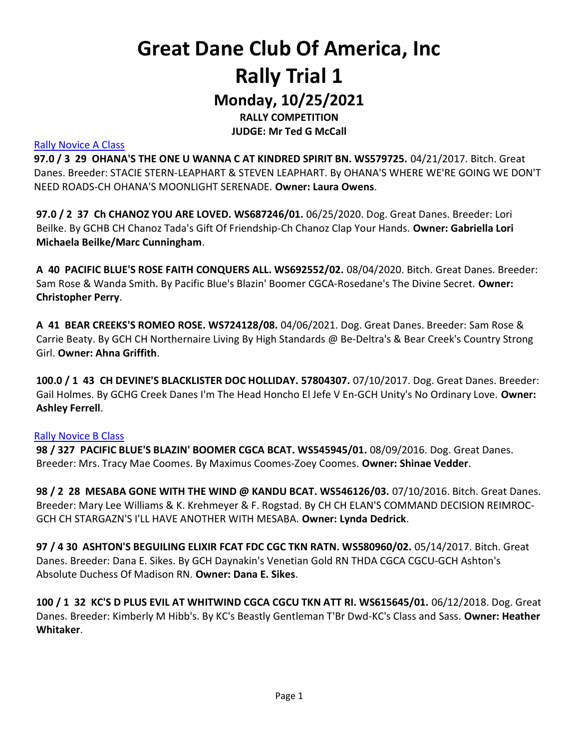### Great Dane Club Of America, Inc Rally Trial 1 Monday, 10/25/2021

RALLY COMPETITION JUDGE: Mr Ted G McCall

#### Rally Novice A Class

97.0 / 3 29 OHANA'S THE ONE U WANNA C AT KINDRED SPIRIT BN. WS579725. 04/21/2017. Bitch. Great Danes. Breeder: STACIE STERN-LEAPHART & STEVEN LEAPHART. By OHANA'S WHERE WE'RE GOING WE DON'T NEED ROADS-CH OHANA'S MOONLIGHT SERENADE. Owner: Laura Owens.

97.0 / 2 37 Ch CHANOZ YOU ARE LOVED. WS687246/01. 06/25/2020. Dog. Great Danes. Breeder: Lori Beilke. By GCHB CH Chanoz Tada's Gift Of Friendship-Ch Chanoz Clap Your Hands. Owner: Gabriella Lori Michaela Beilke/Marc Cunningham.

A 40 PACIFIC BLUE'S ROSE FAITH CONQUERS ALL. WS692552/02. 08/04/2020. Bitch. Great Danes. Breeder: Sam Rose & Wanda Smith. By Pacific Blue's Blazin' Boomer CGCA-Rosedane's The Divine Secret. Owner: Christopher Perry.

A 41 BEAR CREEKS'S ROMEO ROSE. WS724128/08. 04/06/2021. Dog. Great Danes. Breeder: Sam Rose & Carrie Beaty. By GCH CH Northernaire Living By High Standards @ Be-Deltra's & Bear Creek's Country Strong Girl. Owner: Ahna Griffith.

100.0 / 1 43 CH DEVINE'S BLACKLISTER DOC HOLLIDAY. 57804307. 07/10/2017. Dog. Great Danes. Breeder: Gail Holmes. By GCHG Creek Danes I'm The Head Honcho El Jefe V En-GCH Unity's No Ordinary Love. Owner: Ashley Ferrell.

#### Rally Novice B Class

98 / 327 PACIFIC BLUE'S BLAZIN' BOOMER CGCA BCAT. WS545945/01. 08/09/2016. Dog. Great Danes. Breeder: Mrs. Tracy Mae Coomes. By Maximus Coomes-Zoey Coomes. Owner: Shinae Vedder.

98 / 2 28 MESABA GONE WITH THE WIND @ KANDU BCAT. WS546126/03. 07/10/2016. Bitch. Great Danes. Breeder: Mary Lee Williams & K. Krehmeyer & F. Rogstad. By CH CH ELAN'S COMMAND DECISION REIMROC-GCH CH STARGAZN'S I'LL HAVE ANOTHER WITH MESABA. Owner: Lynda Dedrick.

97 / 4 30 ASHTON'S BEGUILING ELIXIR FCAT FDC CGC TKN RATN. WS580960/02. 05/14/2017. Bitch. Great Danes. Breeder: Dana E. Sikes. By GCH Daynakin's Venetian Gold RN THDA CGCA CGCU-GCH Ashton's Absolute Duchess Of Madison RN. Owner: Dana E. Sikes.

100 / 1 32 KC'S D PLUS EVIL AT WHITWIND CGCA CGCU TKN ATT RI. WS615645/01. 06/12/2018. Dog. Great Danes. Breeder: Kimberly M Hibb's. By KC's Beastly Gentleman T'Br Dwd-KC's Class and Sass. Owner: Heather Whitaker.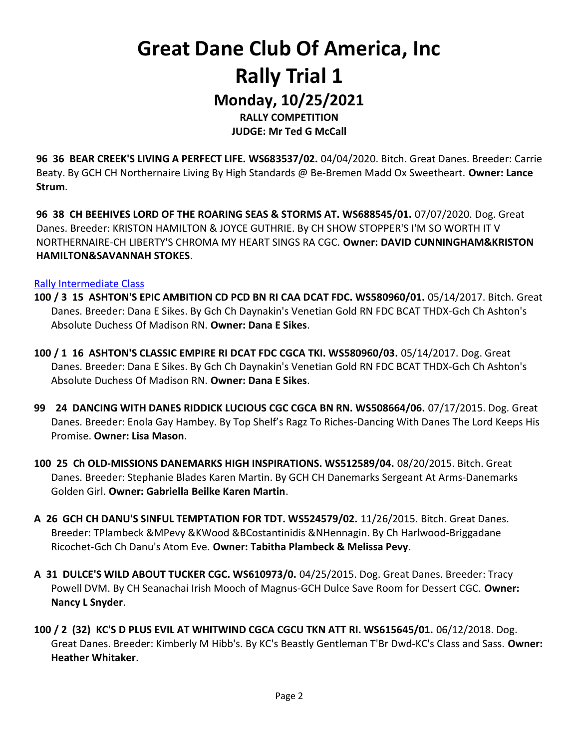### Great Dane Club Of America, Inc Rally Trial 1 Monday, 10/25/2021 RALLY COMPETITION

JUDGE: Mr Ted G McCall

96 36 BEAR CREEK'S LIVING A PERFECT LIFE. WS683537/02. 04/04/2020. Bitch. Great Danes. Breeder: Carrie Beaty. By GCH CH Northernaire Living By High Standards @ Be-Bremen Madd Ox Sweetheart. Owner: Lance Strum.

96 38 CH BEEHIVES LORD OF THE ROARING SEAS & STORMS AT. WS688545/01. 07/07/2020. Dog. Great Danes. Breeder: KRISTON HAMILTON & JOYCE GUTHRIE. By CH SHOW STOPPER'S I'M SO WORTH IT V NORTHERNAIRE-CH LIBERTY'S CHROMA MY HEART SINGS RA CGC. Owner: DAVID CUNNINGHAM&KRISTON HAMILTON&SAVANNAH STOKES.

#### Rally Intermediate Class

- 100 / 3 15 ASHTON'S EPIC AMBITION CD PCD BN RI CAA DCAT FDC. WS580960/01. 05/14/2017. Bitch. Great Danes. Breeder: Dana E Sikes. By Gch Ch Daynakin's Venetian Gold RN FDC BCAT THDX-Gch Ch Ashton's Absolute Duchess Of Madison RN. Owner: Dana E Sikes.
- 100 / 1 16 ASHTON'S CLASSIC EMPIRE RI DCAT FDC CGCA TKI. WS580960/03. 05/14/2017. Dog. Great Danes. Breeder: Dana E Sikes. By Gch Ch Daynakin's Venetian Gold RN FDC BCAT THDX-Gch Ch Ashton's Absolute Duchess Of Madison RN. Owner: Dana E Sikes.
- 99 24 DANCING WITH DANES RIDDICK LUCIOUS CGC CGCA BN RN. WS508664/06. 07/17/2015. Dog. Great Danes. Breeder: Enola Gay Hambey. By Top Shelf's Ragz To Riches-Dancing With Danes The Lord Keeps His Promise. Owner: Lisa Mason.
- 100 25 Ch OLD-MISSIONS DANEMARKS HIGH INSPIRATIONS. WS512589/04. 08/20/2015. Bitch. Great Danes. Breeder: Stephanie Blades Karen Martin. By GCH CH Danemarks Sergeant At Arms-Danemarks Golden Girl. Owner: Gabriella Beilke Karen Martin.
- A 26 GCH CH DANU'S SINFUL TEMPTATION FOR TDT. WS524579/02. 11/26/2015. Bitch. Great Danes. Breeder: TPlambeck &MPevy &KWood &BCostantinidis &NHennagin. By Ch Harlwood-Briggadane Ricochet-Gch Ch Danu's Atom Eve. Owner: Tabitha Plambeck & Melissa Pevy.
- A 31 DULCE'S WILD ABOUT TUCKER CGC. WS610973/0. 04/25/2015. Dog. Great Danes. Breeder: Tracy Powell DVM. By CH Seanachai Irish Mooch of Magnus-GCH Dulce Save Room for Dessert CGC. Owner: Nancy L Snyder.
- 100 / 2 (32) KC'S D PLUS EVIL AT WHITWIND CGCA CGCU TKN ATT RI. WS615645/01. 06/12/2018. Dog. Great Danes. Breeder: Kimberly M Hibb's. By KC's Beastly Gentleman T'Br Dwd-KC's Class and Sass. Owner: Heather Whitaker.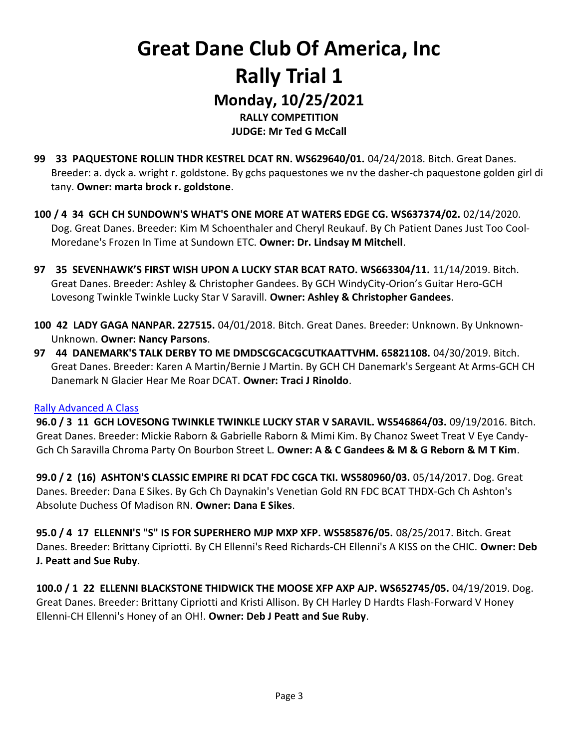### Great Dane Club Of America, Inc Rally Trial 1 Monday, 10/25/2021 RALLY COMPETITION

JUDGE: Mr Ted G McCall

- 99 33 PAQUESTONE ROLLIN THDR KESTREL DCAT RN. WS629640/01. 04/24/2018. Bitch. Great Danes. Breeder: a. dyck a. wright r. goldstone. By gchs paquestones we nv the dasher-ch paquestone golden girl di tany. Owner: marta brock r. goldstone.
- 100 / 4 34 GCH CH SUNDOWN'S WHAT'S ONE MORE AT WATERS EDGE CG. WS637374/02. 02/14/2020. Dog. Great Danes. Breeder: Kim M Schoenthaler and Cheryl Reukauf. By Ch Patient Danes Just Too Cool-Moredane's Frozen In Time at Sundown ETC. Owner: Dr. Lindsay M Mitchell.
- 97 35 SEVENHAWK'S FIRST WISH UPON A LUCKY STAR BCAT RATO. WS663304/11. 11/14/2019. Bitch. Great Danes. Breeder: Ashley & Christopher Gandees. By GCH WindyCity-Orion's Guitar Hero-GCH Lovesong Twinkle Twinkle Lucky Star V Saravill. Owner: Ashley & Christopher Gandees.
- 100 42 LADY GAGA NANPAR. 227515. 04/01/2018. Bitch. Great Danes. Breeder: Unknown. By Unknown-Unknown. Owner: Nancy Parsons.
- 97 44 DANEMARK'S TALK DERBY TO ME DMDSCGCACGCUTKAATTVHM. 65821108. 04/30/2019. Bitch. Great Danes. Breeder: Karen A Martin/Bernie J Martin. By GCH CH Danemark's Sergeant At Arms-GCH CH Danemark N Glacier Hear Me Roar DCAT. Owner: Traci J Rinoldo.

#### Rally Advanced A Class

96.0 / 3 11 GCH LOVESONG TWINKLE TWINKLE LUCKY STAR V SARAVIL. WS546864/03. 09/19/2016. Bitch. Great Danes. Breeder: Mickie Raborn & Gabrielle Raborn & Mimi Kim. By Chanoz Sweet Treat V Eye Candy-Gch Ch Saravilla Chroma Party On Bourbon Street L. Owner: A & C Gandees & M & G Reborn & M T Kim.

99.0 / 2 (16) ASHTON'S CLASSIC EMPIRE RI DCAT FDC CGCA TKI. WS580960/03. 05/14/2017. Dog. Great Danes. Breeder: Dana E Sikes. By Gch Ch Daynakin's Venetian Gold RN FDC BCAT THDX-Gch Ch Ashton's Absolute Duchess Of Madison RN. Owner: Dana E Sikes.

95.0 / 4 17 ELLENNI'S "S" IS FOR SUPERHERO MJP MXP XFP. WS585876/05. 08/25/2017. Bitch. Great Danes. Breeder: Brittany Cipriotti. By CH Ellenni's Reed Richards-CH Ellenni's A KISS on the CHIC. Owner: Deb J. Peatt and Sue Ruby.

100.0 / 1 22 ELLENNI BLACKSTONE THIDWICK THE MOOSE XFP AXP AJP. WS652745/05. 04/19/2019. Dog. Great Danes. Breeder: Brittany Cipriotti and Kristi Allison. By CH Harley D Hardts Flash-Forward V Honey Ellenni-CH Ellenni's Honey of an OH!. Owner: Deb J Peatt and Sue Ruby.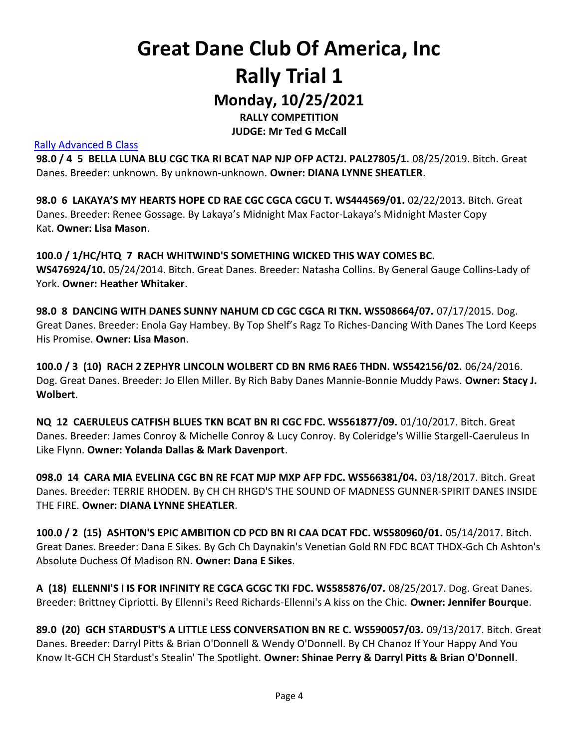# Great Dane Club Of America, Inc Rally Trial 1

Monday, 10/25/2021 RALLY COMPETITION

JUDGE: Mr Ted G McCall

#### Rally Advanced B Class

98.0 / 4 5 BELLA LUNA BLU CGC TKA RI BCAT NAP NJP OFP ACT2J. PAL27805/1. 08/25/2019. Bitch. Great Danes. Breeder: unknown. By unknown-unknown. Owner: DIANA LYNNE SHEATLER.

98.0 6 LAKAYA'S MY HEARTS HOPE CD RAE CGC CGCA CGCU T. WS444569/01. 02/22/2013. Bitch. Great Danes. Breeder: Renee Gossage. By Lakaya's Midnight Max Factor-Lakaya's Midnight Master Copy Kat. Owner: Lisa Mason.

100.0 / 1/HC/HTQ 7 RACH WHITWIND'S SOMETHING WICKED THIS WAY COMES BC. WS476924/10. 05/24/2014. Bitch. Great Danes. Breeder: Natasha Collins. By General Gauge Collins-Lady of York. Owner: Heather Whitaker.

98.0 8 DANCING WITH DANES SUNNY NAHUM CD CGC CGCA RI TKN. WS508664/07. 07/17/2015. Dog. Great Danes. Breeder: Enola Gay Hambey. By Top Shelf's Ragz To Riches-Dancing With Danes The Lord Keeps His Promise. Owner: Lisa Mason.

100.0 / 3 (10) RACH 2 ZEPHYR LINCOLN WOLBERT CD BN RM6 RAE6 THDN. WS542156/02. 06/24/2016. Dog. Great Danes. Breeder: Jo Ellen Miller. By Rich Baby Danes Mannie-Bonnie Muddy Paws. Owner: Stacy J. Wolbert.

NQ 12 CAERULEUS CATFISH BLUES TKN BCAT BN RI CGC FDC. WS561877/09. 01/10/2017. Bitch. Great Danes. Breeder: James Conroy & Michelle Conroy & Lucy Conroy. By Coleridge's Willie Stargell-Caeruleus In Like Flynn. Owner: Yolanda Dallas & Mark Davenport.

098.0 14 CARA MIA EVELINA CGC BN RE FCAT MJP MXP AFP FDC. WS566381/04. 03/18/2017. Bitch. Great Danes. Breeder: TERRIE RHODEN. By CH CH RHGD'S THE SOUND OF MADNESS GUNNER-SPIRIT DANES INSIDE THE FIRE. Owner: DIANA LYNNE SHEATLER.

100.0 / 2 (15) ASHTON'S EPIC AMBITION CD PCD BN RI CAA DCAT FDC. WS580960/01. 05/14/2017. Bitch. Great Danes. Breeder: Dana E Sikes. By Gch Ch Daynakin's Venetian Gold RN FDC BCAT THDX-Gch Ch Ashton's Absolute Duchess Of Madison RN. Owner: Dana E Sikes.

A (18) ELLENNI'S I IS FOR INFINITY RE CGCA GCGC TKI FDC. WS585876/07. 08/25/2017. Dog. Great Danes. Breeder: Brittney Cipriotti. By Ellenni's Reed Richards-Ellenni's A kiss on the Chic. Owner: Jennifer Bourque.

89.0 (20) GCH STARDUST'S A LITTLE LESS CONVERSATION BN RE C. WS590057/03. 09/13/2017. Bitch. Great Danes. Breeder: Darryl Pitts & Brian O'Donnell & Wendy O'Donnell. By CH Chanoz If Your Happy And You Know It-GCH CH Stardust's Stealin' The Spotlight. Owner: Shinae Perry & Darryl Pitts & Brian O'Donnell.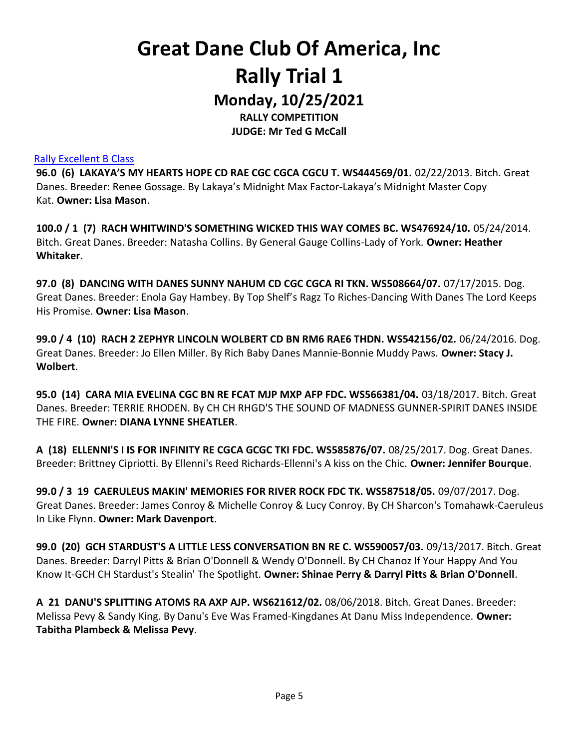### Great Dane Club Of America, Inc Rally Trial 1 Monday, 10/25/2021

RALLY COMPETITION JUDGE: Mr Ted G McCall

#### Rally Excellent B Class

96.0 (6) LAKAYA'S MY HEARTS HOPE CD RAE CGC CGCA CGCU T. WS444569/01. 02/22/2013. Bitch. Great Danes. Breeder: Renee Gossage. By Lakaya's Midnight Max Factor-Lakaya's Midnight Master Copy Kat. Owner: Lisa Mason.

100.0 / 1 (7) RACH WHITWIND'S SOMETHING WICKED THIS WAY COMES BC. WS476924/10. 05/24/2014. Bitch. Great Danes. Breeder: Natasha Collins. By General Gauge Collins-Lady of York. Owner: Heather Whitaker.

97.0 (8) DANCING WITH DANES SUNNY NAHUM CD CGC CGCA RI TKN. WS508664/07. 07/17/2015. Dog. Great Danes. Breeder: Enola Gay Hambey. By Top Shelf's Ragz To Riches-Dancing With Danes The Lord Keeps His Promise. Owner: Lisa Mason.

99.0 / 4 (10) RACH 2 ZEPHYR LINCOLN WOLBERT CD BN RM6 RAE6 THDN. WS542156/02. 06/24/2016. Dog. Great Danes. Breeder: Jo Ellen Miller. By Rich Baby Danes Mannie-Bonnie Muddy Paws. Owner: Stacy J. Wolbert.

95.0 (14) CARA MIA EVELINA CGC BN RE FCAT MJP MXP AFP FDC. WS566381/04. 03/18/2017. Bitch. Great Danes. Breeder: TERRIE RHODEN. By CH CH RHGD'S THE SOUND OF MADNESS GUNNER-SPIRIT DANES INSIDE THE FIRE. Owner: DIANA LYNNE SHEATLER.

A (18) ELLENNI'S I IS FOR INFINITY RE CGCA GCGC TKI FDC. WS585876/07. 08/25/2017. Dog. Great Danes. Breeder: Brittney Cipriotti. By Ellenni's Reed Richards-Ellenni's A kiss on the Chic. Owner: Jennifer Bourque.

99.0 / 3 19 CAERULEUS MAKIN' MEMORIES FOR RIVER ROCK FDC TK. WS587518/05. 09/07/2017. Dog. Great Danes. Breeder: James Conroy & Michelle Conroy & Lucy Conroy. By CH Sharcon's Tomahawk-Caeruleus In Like Flynn. Owner: Mark Davenport.

99.0 (20) GCH STARDUST'S A LITTLE LESS CONVERSATION BN RE C. WS590057/03. 09/13/2017. Bitch. Great Danes. Breeder: Darryl Pitts & Brian O'Donnell & Wendy O'Donnell. By CH Chanoz If Your Happy And You Know It-GCH CH Stardust's Stealin' The Spotlight. Owner: Shinae Perry & Darryl Pitts & Brian O'Donnell.

A 21 DANU'S SPLITTING ATOMS RA AXP AJP. WS621612/02. 08/06/2018. Bitch. Great Danes. Breeder: Melissa Pevy & Sandy King. By Danu's Eve Was Framed-Kingdanes At Danu Miss Independence. Owner: Tabitha Plambeck & Melissa Pevy.